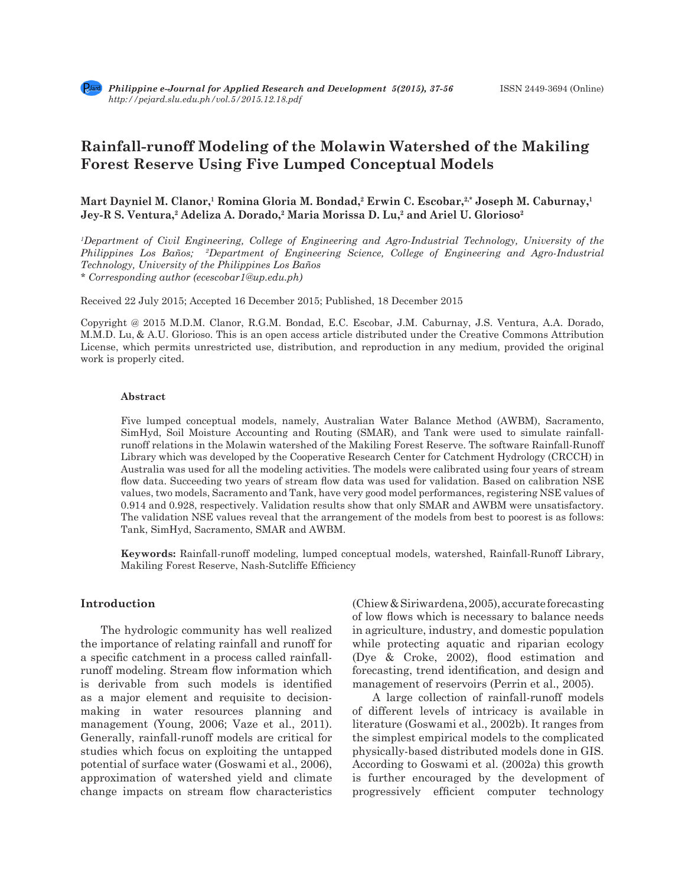# **Rainfall-runoff Modeling of the Molawin Watershed of the Makiling Forest Reserve Using Five Lumped Conceptual Models**

Mart Dayniel M. Clanor,<sup>1</sup> Romina Gloria M. Bondad,<sup>2</sup> Erwin C. Escobar,<sup>2,\*</sup> Joseph M. Caburnay,<sup>1</sup> Jey-R S. Ventura,<sup>2</sup> Adeliza A. Dorado,<sup>2</sup> Maria Morissa D. Lu,<sup>2</sup> and Ariel U. Glorioso<sup>2</sup>

*1 Department of Civil Engineering, College of Engineering and Agro-Industrial Technology, University of the Philippines Los Baños; 2 Department of Engineering Science, College of Engineering and Agro-Industrial Technology, University of the Philippines Los Baños \* Corresponding author (ecescobar1@up.edu.ph)*

Received 22 July 2015; Accepted 16 December 2015; Published, 18 December 2015

Copyright @ 2015 M.D.M. Clanor, R.G.M. Bondad, E.C. Escobar, J.M. Caburnay, J.S. Ventura, A.A. Dorado, M.M.D. Lu, & A.U. Glorioso. This is an open access article distributed under the Creative Commons Attribution License, which permits unrestricted use, distribution, and reproduction in any medium, provided the original work is properly cited.

#### **Abstract**

Five lumped conceptual models, namely, Australian Water Balance Method (AWBM), Sacramento, SimHyd, Soil Moisture Accounting and Routing (SMAR), and Tank were used to simulate rainfallrunoff relations in the Molawin watershed of the Makiling Forest Reserve. The software Rainfall-Runoff Library which was developed by the Cooperative Research Center for Catchment Hydrology (CRCCH) in Australia was used for all the modeling activities. The models were calibrated using four years of stream flow data. Succeeding two years of stream flow data was used for validation. Based on calibration NSE values, two models, Sacramento and Tank, have very good model performances, registering NSE values of 0.914 and 0.928, respectively. Validation results show that only SMAR and AWBM were unsatisfactory. The validation NSE values reveal that the arrangement of the models from best to poorest is as follows: Tank, SimHyd, Sacramento, SMAR and AWBM.

**Keywords:** Rainfall-runoff modeling, lumped conceptual models, watershed, Rainfall-Runoff Library, Makiling Forest Reserve, Nash-Sutcliffe Efficiency

# **Introduction**

The hydrologic community has well realized the importance of relating rainfall and runoff for a specific catchment in a process called rainfallrunoff modeling. Stream flow information which is derivable from such models is identified as a major element and requisite to decisionmaking in water resources planning and management (Young, 2006; Vaze et al., 2011). Generally, rainfall-runoff models are critical for studies which focus on exploiting the untapped potential of surface water (Goswami et al., 2006), approximation of watershed yield and climate change impacts on stream flow characteristics (Chiew & Siriwardena, 2005), accurate forecasting of low flows which is necessary to balance needs in agriculture, industry, and domestic population while protecting aquatic and riparian ecology (Dye & Croke, 2002), flood estimation and forecasting, trend identification, and design and management of reservoirs (Perrin et al., 2005).

A large collection of rainfall-runoff models of different levels of intricacy is available in literature (Goswami et al., 2002b). It ranges from the simplest empirical models to the complicated physically-based distributed models done in GIS. According to Goswami et al. (2002a) this growth is further encouraged by the development of progressively efficient computer technology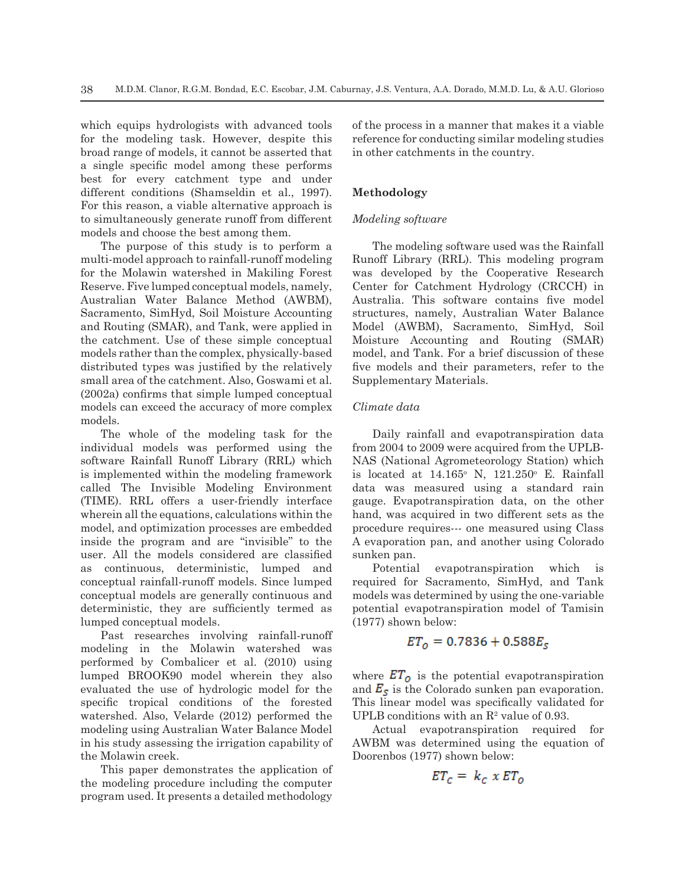which equips hydrologists with advanced tools for the modeling task. However, despite this broad range of models, it cannot be asserted that a single specific model among these performs best for every catchment type and under different conditions (Shamseldin et al., 1997). For this reason, a viable alternative approach is to simultaneously generate runoff from different models and choose the best among them.

The purpose of this study is to perform a multi-model approach to rainfall-runoff modeling for the Molawin watershed in Makiling Forest Reserve. Five lumped conceptual models, namely, Australian Water Balance Method (AWBM), Sacramento, SimHyd, Soil Moisture Accounting and Routing (SMAR), and Tank, were applied in the catchment. Use of these simple conceptual models rather than the complex, physically-based distributed types was justified by the relatively small area of the catchment. Also, Goswami et al. (2002a) confirms that simple lumped conceptual models can exceed the accuracy of more complex models.

The whole of the modeling task for the individual models was performed using the software Rainfall Runoff Library (RRL) which is implemented within the modeling framework called The Invisible Modeling Environment (TIME). RRL offers a user-friendly interface wherein all the equations, calculations within the model, and optimization processes are embedded inside the program and are "invisible" to the user. All the models considered are classified as continuous, deterministic, lumped and conceptual rainfall-runoff models. Since lumped conceptual models are generally continuous and deterministic, they are sufficiently termed as lumped conceptual models.

Past researches involving rainfall-runoff modeling in the Molawin watershed was performed by Combalicer et al. (2010) using lumped BROOK90 model wherein they also evaluated the use of hydrologic model for the specific tropical conditions of the forested watershed. Also, Velarde (2012) performed the modeling using Australian Water Balance Model in his study assessing the irrigation capability of the Molawin creek.

This paper demonstrates the application of the modeling procedure including the computer program used. It presents a detailed methodology of the process in a manner that makes it a viable reference for conducting similar modeling studies in other catchments in the country.

# **Methodology**

### *Modeling software*

The modeling software used was the Rainfall Runoff Library (RRL). This modeling program was developed by the Cooperative Research Center for Catchment Hydrology (CRCCH) in Australia. This software contains five model structures, namely, Australian Water Balance Model (AWBM), Sacramento, SimHyd, Soil Moisture Accounting and Routing (SMAR) model, and Tank. For a brief discussion of these five models and their parameters, refer to the Supplementary Materials.

### *Climate data*

Daily rainfall and evapotranspiration data from 2004 to 2009 were acquired from the UPLB-NAS (National Agrometeorology Station) which is located at  $14.165^{\circ}$  N,  $121.250^{\circ}$  E. Rainfall data was measured using a standard rain gauge. Evapotranspiration data, on the other hand, was acquired in two different sets as the procedure requires--- one measured using Class A evaporation pan, and another using Colorado sunken pan.

Potential evapotranspiration which is required for Sacramento, SimHyd, and Tank models was determined by using the one-variable potential evapotranspiration model of Tamisin (1977) shown below:

# $ET_0 = 0.7836 + 0.588E_s$

where  $ET_{\text{o}}$  is the potential evapotranspiration and  $E_s$  is the Colorado sunken pan evaporation. This linear model was specifically validated for UPLB conditions with an  $\mathbb{R}^2$  value of 0.93.

Actual evapotranspiration required for AWBM was determined using the equation of Doorenbos (1977) shown below:

$$
ET_c = k_c \times ET_o
$$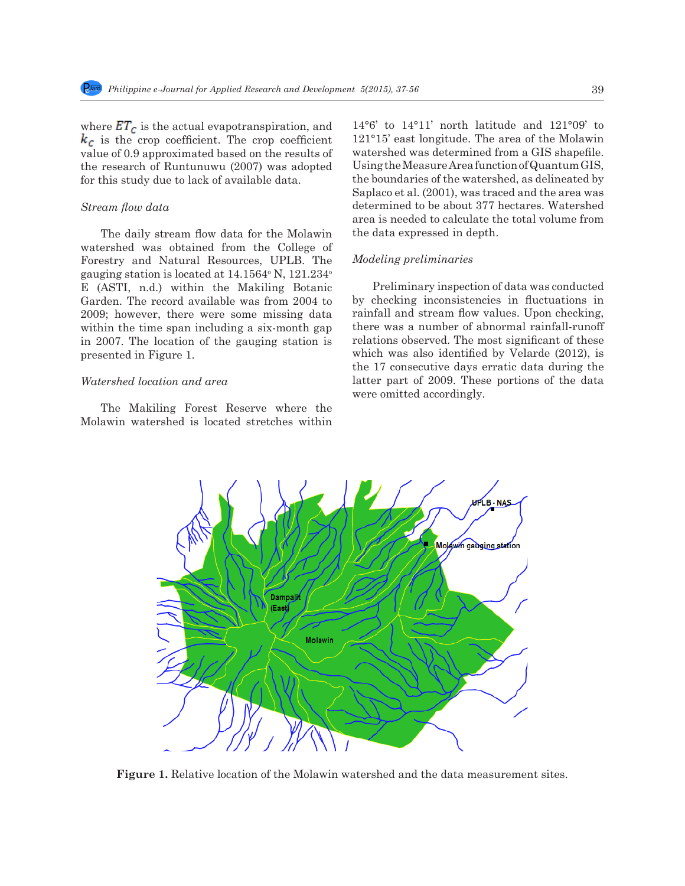where  $ET_c$  is the actual evapotranspiration, and  $k_c$  is the crop coefficient. The crop coefficient value of 0.9 approximated based on the results of the research of Runtunuwu (2007) was adopted for this study due to lack of available data.

# *Stream flow data*

The daily stream flow data for the Molawin watershed was obtained from the College of Forestry and Natural Resources, UPLB. The gauging station is located at 14.1564° N, 121.234° E (ASTI, n.d.) within the Makiling Botanic Garden. The record available was from 2004 to 2009; however, there were some missing data within the time span including a six-month gap in 2007. The location of the gauging station is presented in Figure 1.

# *Watershed location and area*

The Makiling Forest Reserve where the Molawin watershed is located stretches within

14°6' to 14°11' north latitude and 121°09' to 121°15' east longitude. The area of the Molawin watershed was determined from a GIS shapefile. Using the Measure Area function of Quantum GIS, the boundaries of the watershed, as delineated by Saplaco et al. (2001), was traced and the area was determined to be about 377 hectares. Watershed area is needed to calculate the total volume from the data expressed in depth.

### *Modeling preliminaries*

Preliminary inspection of data was conducted by checking inconsistencies in fluctuations in rainfall and stream flow values. Upon checking, there was a number of abnormal rainfall-runoff relations observed. The most significant of these which was also identified by Velarde (2012), is the 17 consecutive days erratic data during the latter part of 2009. These portions of the data were omitted accordingly.



**Figure 1.** Relative location of the Molawin watershed and the data measurement sites.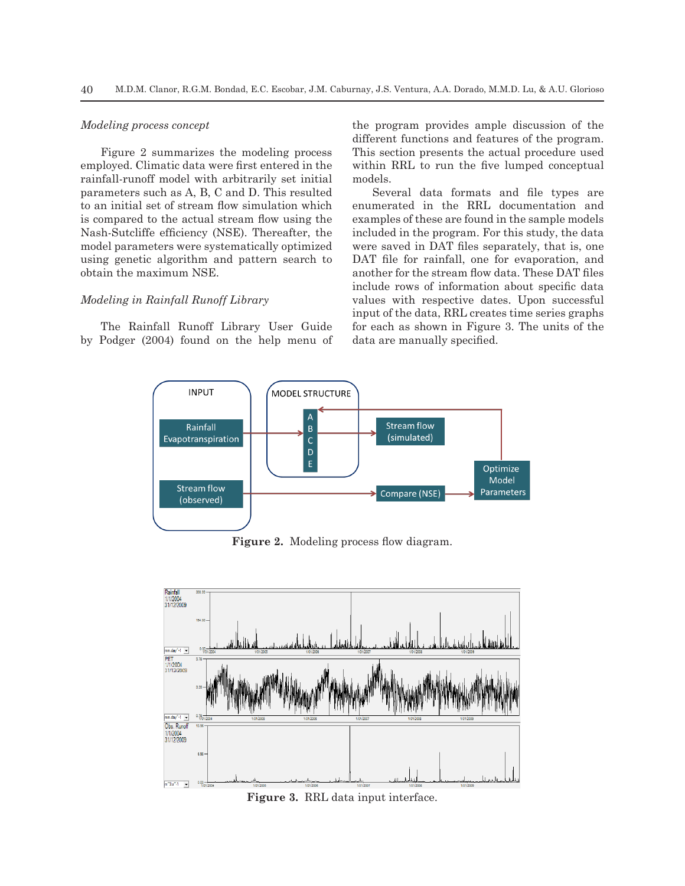#### *Modeling process concept*

Figure 2 summarizes the modeling process employed. Climatic data were first entered in the rainfall-runoff model with arbitrarily set initial parameters such as A, B, C and D. This resulted to an initial set of stream flow simulation which is compared to the actual stream flow using the Nash-Sutcliffe efficiency (NSE). Thereafter, the model parameters were systematically optimized using genetic algorithm and pattern search to obtain the maximum NSE.

### *Modeling in Rainfall Runoff Library*

The Rainfall Runoff Library User Guide by Podger (2004) found on the help menu of the program provides ample discussion of the different functions and features of the program. This section presents the actual procedure used within RRL to run the five lumped conceptual models.

Several data formats and file types are enumerated in the RRL documentation and examples of these are found in the sample models included in the program. For this study, the data were saved in DAT files separately, that is, one DAT file for rainfall, one for evaporation, and another for the stream flow data. These DAT files include rows of information about specific data values with respective dates. Upon successful input of the data, RRL creates time series graphs for each as shown in Figure 3. The units of the data are manually specified.



Figure 2. Modeling process flow diagram.



**Figure 3.** RRL data input interface.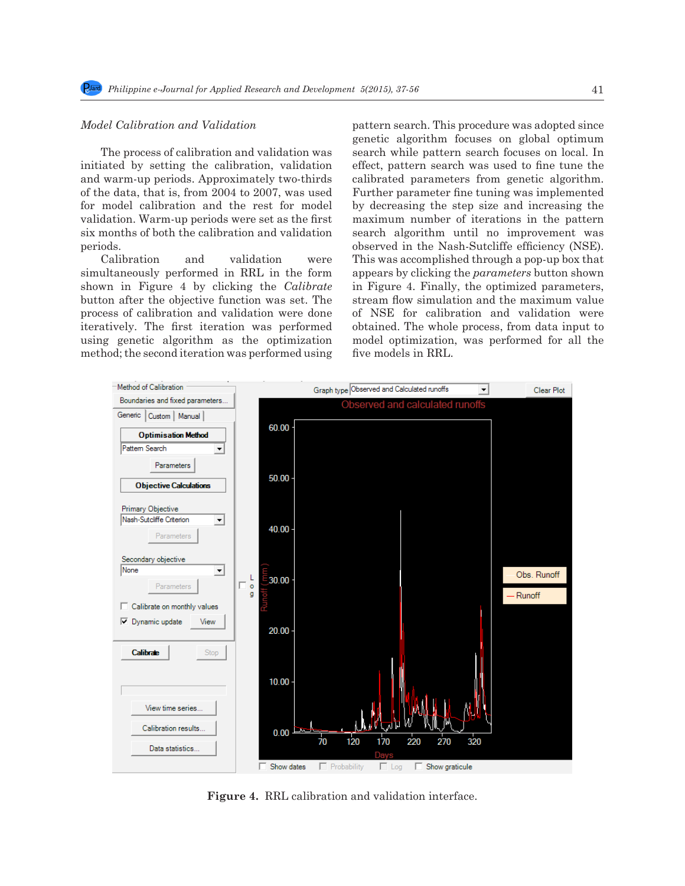# *Model Calibration and Validation*

The process of calibration and validation was initiated by setting the calibration, validation and warm-up periods. Approximately two-thirds of the data, that is, from 2004 to 2007, was used for model calibration and the rest for model validation. Warm-up periods were set as the first six months of both the calibration and validation periods.

Calibration and validation were simultaneously performed in RRL in the form shown in Figure 4 by clicking the *Calibrate*  button after the objective function was set. The process of calibration and validation were done iteratively. The first iteration was performed using genetic algorithm as the optimization method; the second iteration was performed using pattern search. This procedure was adopted since genetic algorithm focuses on global optimum search while pattern search focuses on local. In effect, pattern search was used to fine tune the calibrated parameters from genetic algorithm. Further parameter fine tuning was implemented by decreasing the step size and increasing the maximum number of iterations in the pattern search algorithm until no improvement was observed in the Nash-Sutcliffe efficiency (NSE). This was accomplished through a pop-up box that appears by clicking the *parameters* button shown in Figure 4. Finally, the optimized parameters, stream flow simulation and the maximum value of NSE for calibration and validation were obtained. The whole process, from data input to model optimization, was performed for all the five models in RRL.



**Figure 4.** RRL calibration and validation interface.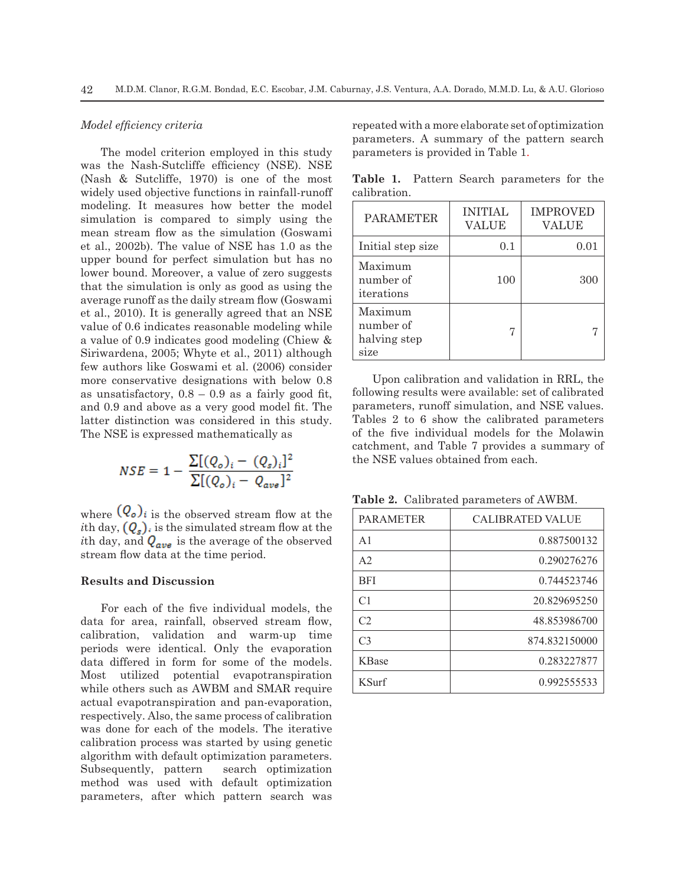# *Model efficiency criteria*

The model criterion employed in this study was the Nash-Sutcliffe efficiency (NSE). NSE (Nash & Sutcliffe, 1970) is one of the most widely used objective functions in rainfall-runoff modeling. It measures how better the model simulation is compared to simply using the mean stream flow as the simulation (Goswami et al., 2002b). The value of NSE has 1.0 as the upper bound for perfect simulation but has no lower bound. Moreover, a value of zero suggests that the simulation is only as good as using the average runoff as the daily stream flow (Goswami et al., 2010). It is generally agreed that an NSE value of 0.6 indicates reasonable modeling while a value of 0.9 indicates good modeling (Chiew & Siriwardena, 2005; Whyte et al., 2011) although few authors like Goswami et al. (2006) consider more conservative designations with below 0.8 as unsatisfactory,  $0.8 - 0.9$  as a fairly good fit, and 0.9 and above as a very good model fit. The latter distinction was considered in this study. The NSE is expressed mathematically as

$$
NSE = 1 - \frac{\Sigma[(Q_o)_i - (Q_s)_i]^2}{\Sigma[(Q_o)_i - Q_{ave}]^2}
$$

where  $(Q_o)$  is the observed stream flow at the *i*th day,  $(Q_s)$ , is the simulated stream flow at the *i*th day, and  $Q_{ave}$  is the average of the observed stream flow data at the time period.

# **Results and Discussion**

For each of the five individual models, the data for area, rainfall, observed stream flow, calibration, validation and warm-up time periods were identical. Only the evaporation data differed in form for some of the models. Most utilized potential evapotranspiration while others such as AWBM and SMAR require actual evapotranspiration and pan-evaporation, respectively. Also, the same process of calibration was done for each of the models. The iterative calibration process was started by using genetic algorithm with default optimization parameters. Subsequently, pattern search optimization method was used with default optimization parameters, after which pattern search was repeated with a more elaborate set of optimization parameters. A summary of the pattern search parameters is provided in Table 1.

**Table 1.** Pattern Search parameters for the calibration.

| <b>PARAMETER</b>                             | <b>INITIAL</b><br><b>VALUE</b> | <b>IMPROVED</b><br><b>VALUE</b> |
|----------------------------------------------|--------------------------------|---------------------------------|
| Initial step size                            | 0.1                            | 0.01                            |
| Maximum<br>number of<br>iterations           | 100                            | 300                             |
| Maximum<br>number of<br>halving step<br>size |                                |                                 |

Upon calibration and validation in RRL, the following results were available: set of calibrated parameters, runoff simulation, and NSE values. Tables 2 to 6 show the calibrated parameters of the five individual models for the Molawin catchment, and Table 7 provides a summary of the NSE values obtained from each.

**Table 2.** Calibrated parameters of AWBM.

| <b>PARAMETER</b> | <b>CALIBRATED VALUE</b> |
|------------------|-------------------------|
| A <sub>1</sub>   | 0.887500132             |
| A <sub>2</sub>   | 0.290276276             |
| <b>BFI</b>       | 0.744523746             |
| C <sub>1</sub>   | 20.829695250            |
| C2               | 48.853986700            |
| C <sub>3</sub>   | 874.832150000           |
| <b>KBase</b>     | 0.283227877             |
| <b>KSurf</b>     | 0.992555533             |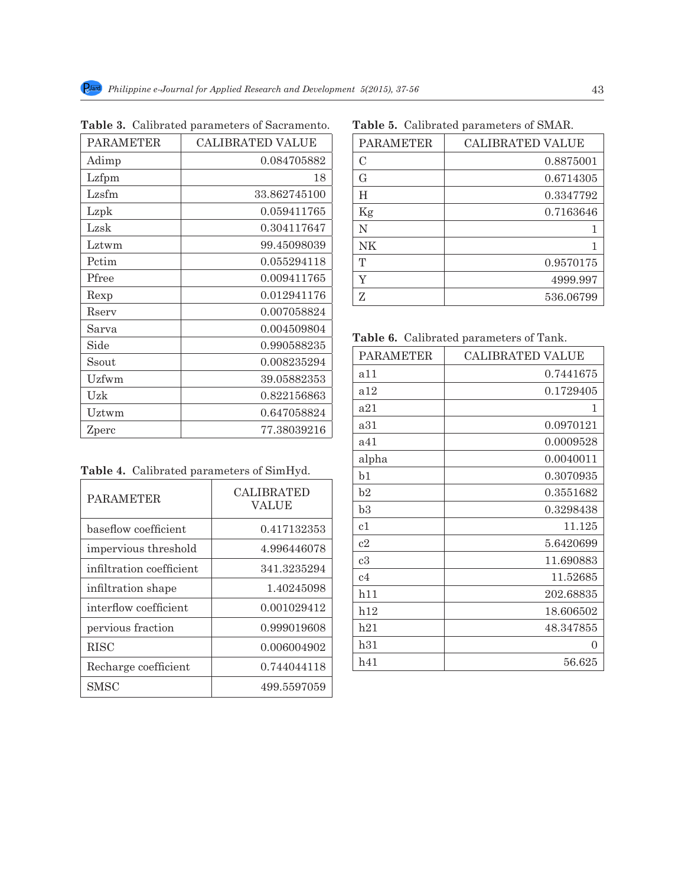| <b>PARAMETER</b> | <b>CALIBRATED VALUE</b> |
|------------------|-------------------------|
| Adimp            | 0.084705882             |
| Lzfpm            | 18                      |
| Lzsfm            | 33.862745100            |
| Lzpk             | 0.059411765             |
| Lzsk             | 0.304117647             |
| Lztwm            | 99.45098039             |
| Petim            | 0.055294118             |
| Pfree            | 0.009411765             |
| Rexp             | 0.012941176             |
| Rserv            | 0.007058824             |
| Sarva            | 0.004509804             |
| Side             | 0.990588235             |
| Ssout            | 0.008235294             |
| Uzfwm            | 39.05882353             |
| Uzk              | 0.822156863             |
| Uztwm            | 0.647058824             |
| Zperc            | 77.38039216             |

**Table 3.** Calibrated parameters of Sacramento.

# **Table 5.** Calibrated parameters of SMAR.

| <b>PARAMETER</b> | CALIBRATED VALUE |
|------------------|------------------|
| С                | 0.8875001        |
| $\rm G$          | 0.6714305        |
| H                | 0.3347792        |
| Kg               | 0.7163646        |
| N                | 1                |
| <b>NK</b>        | 1                |
| T                | 0.9570175        |
| Y                | 4999.997         |
| Z                | 536.06799        |

**Table 6.** Calibrated parameters of Tank.

| <b>PARAMETER</b> | <b>CALIBRATED VALUE</b> |
|------------------|-------------------------|
| a 11             | 0.7441675               |
| a12              | 0.1729405               |
| a21              | 1                       |
| a31              | 0.0970121               |
| a41              | 0.0009528               |
| alpha            | 0.0040011               |
| b <sub>1</sub>   | 0.3070935               |
| b2               | 0.3551682               |
| b3               | 0.3298438               |
| c1               | 11.125                  |
| c2               | 5.6420699               |
| c3               | 11.690883               |
| c <sub>4</sub>   | 11.52685                |
| h11              | 202.68835               |
| h12              | 18.606502               |
| h21              | 48.347855               |
| h31              | 0                       |
| h41              | 56.625                  |

|  |  | Table 4. Calibrated parameters of SimHyd. |  |
|--|--|-------------------------------------------|--|
|--|--|-------------------------------------------|--|

| <b>PARAMETER</b>         | <b>CALIBRATED</b><br>VALUE |
|--------------------------|----------------------------|
| baseflow coefficient     | 0.417132353                |
| impervious threshold     | 4.996446078                |
| infiltration coefficient | 341.3235294                |
| infiltration shape       | 1.40245098                 |
| interflow coefficient    | 0.001029412                |
| pervious fraction        | 0.999019608                |
| <b>RISC</b>              | 0.006004902                |
| Recharge coefficient     | 0.744044118                |
| <b>SMSC</b>              | 499.5597059                |

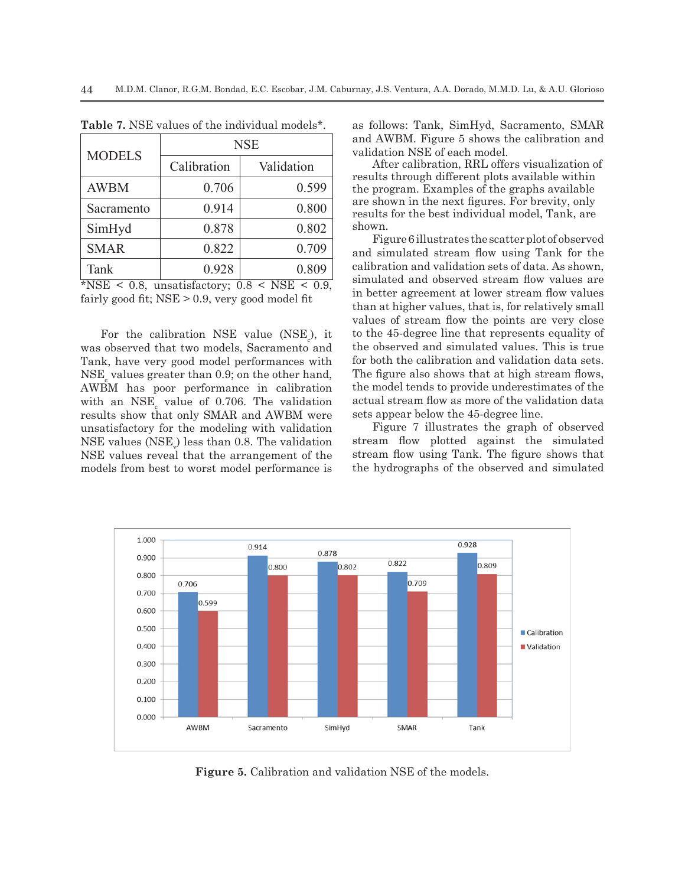| <b>MODELS</b> | <b>NSE</b>  |            |  |
|---------------|-------------|------------|--|
|               | Calibration | Validation |  |
| <b>AWBM</b>   | 0.706       | 0.599      |  |
| Sacramento    | 0.914       | 0.800      |  |
| SimHyd        | 0.878       | 0.802      |  |
| <b>SMAR</b>   | 0.822       | 0.709      |  |
| Tank          | 0.928       | 0.809      |  |

**Table 7.** NSE values of the individual models\*.

\*NSE < 0.8, unsatisfactory;  $0.8 \leq \text{NSE} \leq 0.9$ , fairly good fit; NSE > 0.9, very good model fit

For the calibration NSE value  $(NSE<sub>c</sub>)$ , it was observed that two models, Sacramento and Tank, have very good model performances with  $\mathrm{NSE}_{\mathrm{c}}$  values greater than 0.9; on the other hand, AWBM has poor performance in calibration with an  $NSE_c$  value of 0.706. The validation results show that only SMAR and AWBM were unsatisfactory for the modeling with validation  $\operatorname{NSE}$  values  $(\operatorname{NSE}_{\lor})$  less than 0.8. The validation NSE values reveal that the arrangement of the models from best to worst model performance is

as follows: Tank, SimHyd, Sacramento, SMAR and AWBM. Figure 5 shows the calibration and validation NSE of each model.

After calibration, RRL offers visualization of results through different plots available within the program. Examples of the graphs available are shown in the next figures. For brevity, only results for the best individual model, Tank, are shown.

Figure 6 illustrates the scatter plot of observed and simulated stream flow using Tank for the calibration and validation sets of data. As shown, simulated and observed stream flow values are in better agreement at lower stream flow values than at higher values, that is, for relatively small values of stream flow the points are very close to the 45-degree line that represents equality of the observed and simulated values. This is true for both the calibration and validation data sets. The figure also shows that at high stream flows, the model tends to provide underestimates of the actual stream flow as more of the validation data sets appear below the 45-degree line.

Figure 7 illustrates the graph of observed stream flow plotted against the simulated stream flow using Tank. The figure shows that the hydrographs of the observed and simulated



**Figure 5.** Calibration and validation NSE of the models.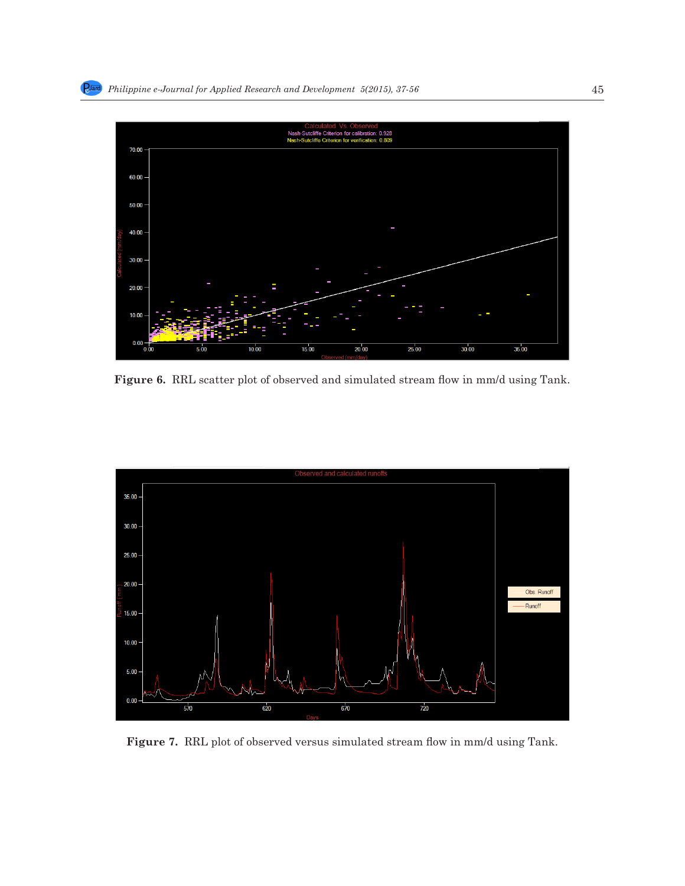

Figure 6. RRL scatter plot of observed and simulated stream flow in mm/d using Tank.



**Figure 7.** RRL plot of observed versus simulated stream flow in mm/d using Tank.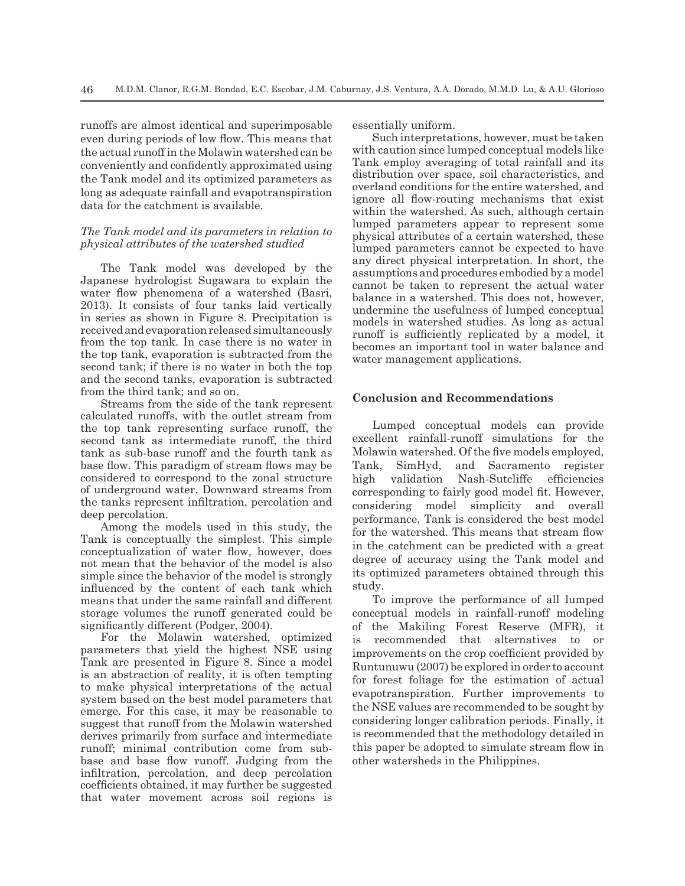runoffs are almost identical and superimposable even during periods of low flow. This means that the actual runoff in the Molawin watershed can be conveniently and confidently approximated using the Tank model and its optimized parameters as long as adequate rainfall and evapotranspiration data for the catchment is available.

# *The Tank model and its parameters in relation to physical attributes of the watershed studied*

The Tank model was developed by the Japanese hydrologist Sugawara to explain the water flow phenomena of a watershed (Basri, 2013). It consists of four tanks laid vertically in series as shown in Figure 8. Precipitation is received and evaporation released simultaneously from the top tank. In case there is no water in the top tank, evaporation is subtracted from the second tank; if there is no water in both the top and the second tanks, evaporation is subtracted from the third tank; and so on.

Streams from the side of the tank represent calculated runoffs, with the outlet stream from the top tank representing surface runoff, the second tank as intermediate runoff, the third tank as sub-base runoff and the fourth tank as base flow. This paradigm of stream flows may be considered to correspond to the zonal structure of underground water. Downward streams from the tanks represent infiltration, percolation and deep percolation.

Among the models used in this study, the Tank is conceptually the simplest. This simple conceptualization of water flow, however, does not mean that the behavior of the model is also simple since the behavior of the model is strongly influenced by the content of each tank which means that under the same rainfall and different storage volumes the runoff generated could be significantly different (Podger, 2004).

For the Molawin watershed, optimized parameters that yield the highest NSE using Tank are presented in Figure 8. Since a model is an abstraction of reality, it is often tempting to make physical interpretations of the actual system based on the best model parameters that emerge. For this case, it may be reasonable to suggest that runoff from the Molawin watershed derives primarily from surface and intermediate runoff; minimal contribution come from subbase and base flow runoff. Judging from the infiltration, percolation, and deep percolation coefficients obtained, it may further be suggested that water movement across soil regions is essentially uniform.

Such interpretations, however, must be taken with caution since lumped conceptual models like Tank employ averaging of total rainfall and its distribution over space, soil characteristics, and overland conditions for the entire watershed, and ignore all flow-routing mechanisms that exist within the watershed. As such, although certain lumped parameters appear to represent some physical attributes of a certain watershed, these lumped parameters cannot be expected to have any direct physical interpretation. In short, the assumptions and procedures embodied by a model cannot be taken to represent the actual water balance in a watershed. This does not, however, undermine the usefulness of lumped conceptual models in watershed studies. As long as actual runoff is sufficiently replicated by a model, it becomes an important tool in water balance and water management applications.

#### **Conclusion and Recommendations**

Lumped conceptual models can provide excellent rainfall-runoff simulations for the Molawin watershed. Of the five models employed, Tank, SimHyd, and Sacramento register high validation Nash-Sutcliffe efficiencies corresponding to fairly good model fit. However, considering model simplicity and overall performance, Tank is considered the best model for the watershed. This means that stream flow in the catchment can be predicted with a great degree of accuracy using the Tank model and its optimized parameters obtained through this study.

To improve the performance of all lumped conceptual models in rainfall-runoff modeling of the Makiling Forest Reserve (MFR), it is recommended that alternatives to or improvements on the crop coefficient provided by Runtunuwu (2007) be explored in order to account for forest foliage for the estimation of actual evapotranspiration. Further improvements to the NSE values are recommended to be sought by considering longer calibration periods. Finally, it is recommended that the methodology detailed in this paper be adopted to simulate stream flow in other watersheds in the Philippines.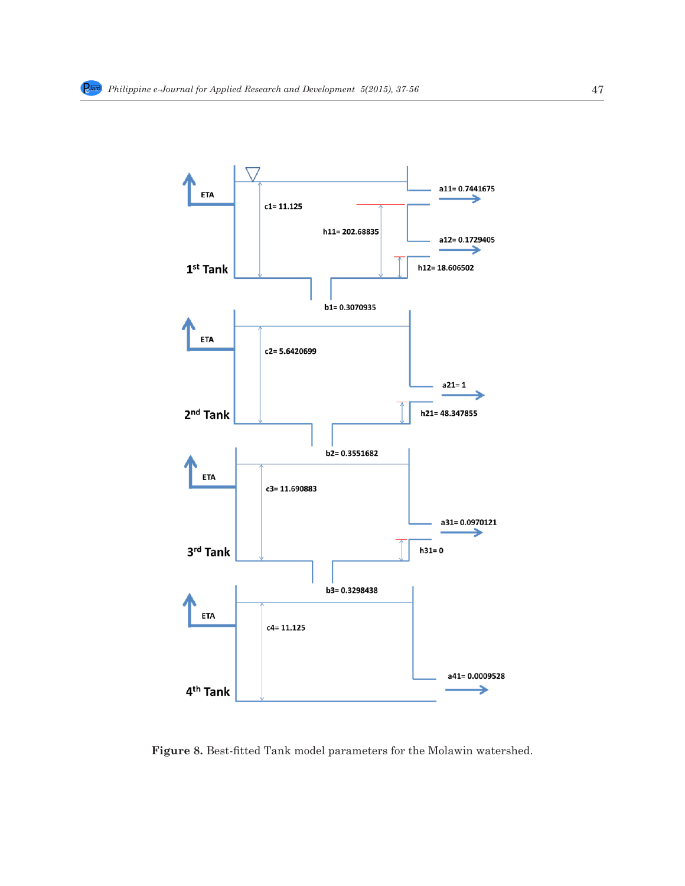

**Figure 8.** Best-fitted Tank model parameters for the Molawin watershed.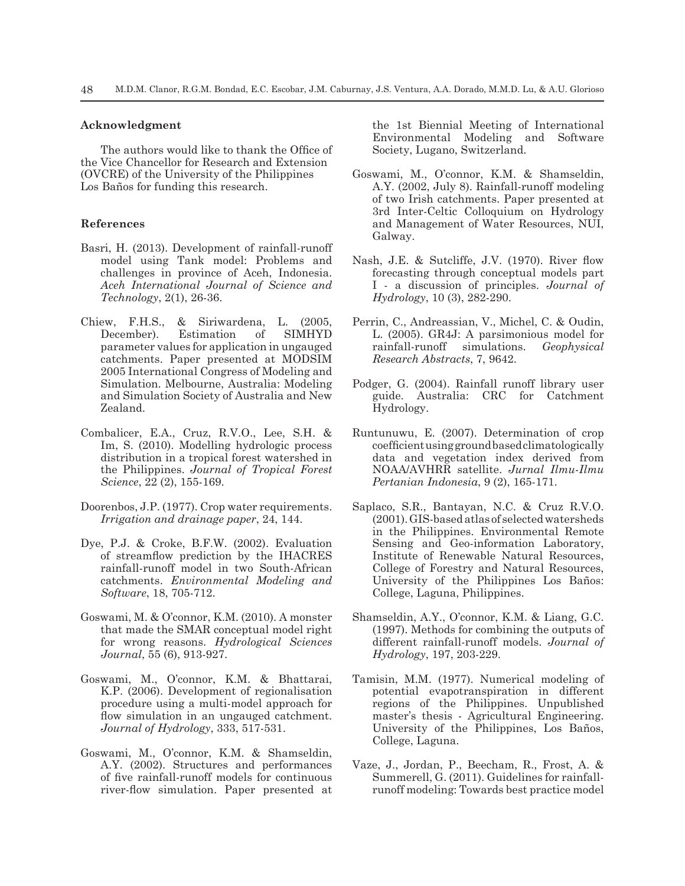#### **Acknowledgment**

The authors would like to thank the Office of the Vice Chancellor for Research and Extension (OVCRE) of the University of the Philippines Los Baños for funding this research.

#### **References**

- Basri, H. (2013). Development of rainfall-runoff model using Tank model: Problems and challenges in province of Aceh, Indonesia. *Aceh International Journal of Science and Technology*, 2(1), 26-36.
- Chiew, F.H.S., & Siriwardena, L. (2005, December). Estimation of parameter values for application in ungauged catchments. Paper presented at MODSIM 2005 International Congress of Modeling and Simulation. Melbourne, Australia: Modeling and Simulation Society of Australia and New Zealand.
- Combalicer, E.A., Cruz, R.V.O., Lee, S.H. & Im, S. (2010). Modelling hydrologic process distribution in a tropical forest watershed in the Philippines. *Journal of Tropical Forest Science*, 22 (2), 155-169.
- Doorenbos, J.P. (1977). Crop water requirements. *Irrigation and drainage paper*, 24, 144.
- Dye, P.J. & Croke, B.F.W. (2002). Evaluation of streamflow prediction by the IHACRES rainfall-runoff model in two South-African catchments. *Environmental Modeling and Software*, 18, 705-712.
- Goswami, M. & O'connor, K.M. (2010). A monster that made the SMAR conceptual model right for wrong reasons. *Hydrological Sciences Journal*, 55 (6), 913-927.
- Goswami, M., O'connor, K.M. & Bhattarai, K.P. (2006). Development of regionalisation procedure using a multi-model approach for flow simulation in an ungauged catchment. *Journal of Hydrology*, 333, 517-531.
- Goswami, M., O'connor, K.M. & Shamseldin, A.Y. (2002). Structures and performances of five rainfall-runoff models for continuous river-flow simulation. Paper presented at

the 1st Biennial Meeting of International Environmental Modeling and Software Society, Lugano, Switzerland.

- Goswami, M., O'connor, K.M. & Shamseldin, A.Y. (2002, July 8). Rainfall-runoff modeling of two Irish catchments. Paper presented at 3rd Inter-Celtic Colloquium on Hydrology and Management of Water Resources, NUI, Galway.
- Nash, J.E. & Sutcliffe, J.V. (1970). River flow forecasting through conceptual models part I - a discussion of principles. *Journal of Hydrology*, 10 (3), 282-290.
- Perrin, C., Andreassian, V., Michel, C. & Oudin, L. (2005). GR4J: A parsimonious model for rainfall-runoff simulations. *Geophysical Research Abstracts*, 7, 9642.
- Podger, G. (2004). Rainfall runoff library user guide. Australia: CRC for Catchment Hydrology.
- Runtunuwu, E. (2007). Determination of crop coefficient using ground based climatologically data and vegetation index derived from NOAA/AVHRR satellite. *Jurnal Ilmu-Ilmu Pertanian Indonesia*, 9 (2), 165-171.
- Saplaco, S.R., Bantayan, N.C. & Cruz R.V.O. (2001). GIS-based atlas of selected watersheds in the Philippines. Environmental Remote Sensing and Geo-information Laboratory, Institute of Renewable Natural Resources, College of Forestry and Natural Resources, University of the Philippines Los Baños: College, Laguna, Philippines.
- Shamseldin, A.Y., O'connor, K.M. & Liang, G.C. (1997). Methods for combining the outputs of different rainfall-runoff models. *Journal of Hydrology*, 197, 203-229.
- Tamisin, M.M. (1977). Numerical modeling of potential evapotranspiration in different regions of the Philippines. Unpublished master's thesis - Agricultural Engineering. University of the Philippines, Los Baños, College, Laguna.
- Vaze, J., Jordan, P., Beecham, R., Frost, A. & Summerell, G. (2011). Guidelines for rainfallrunoff modeling: Towards best practice model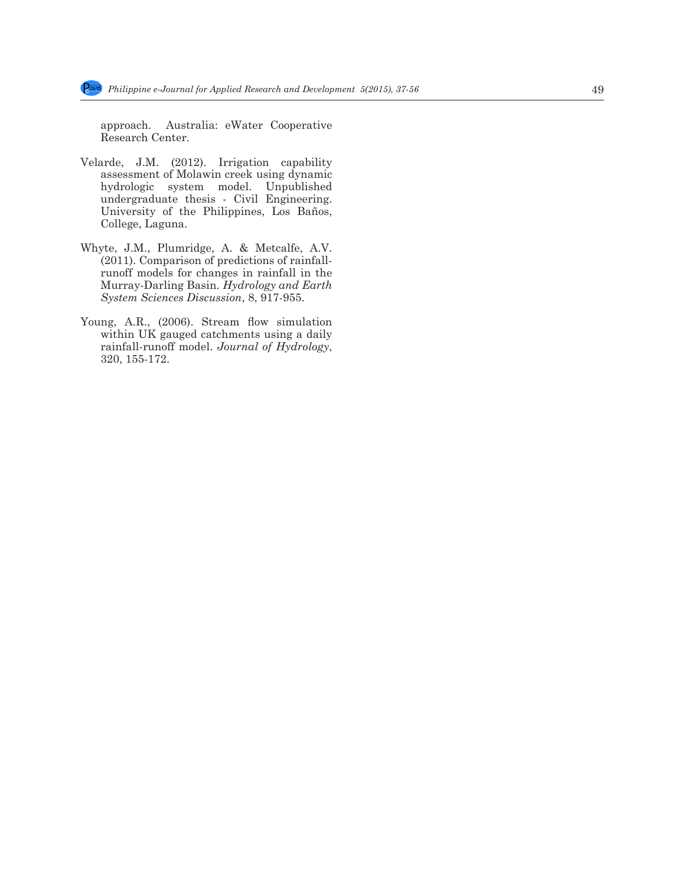approach. Australia: eWater Cooperative Research Center.

- Velarde, J.M. (2012). Irrigation capability assessment of Molawin creek using dynamic hydrologic system model. Unpublished undergraduate thesis - Civil Engineering. University of the Philippines, Los Baños, College, Laguna.
- Whyte, J.M., Plumridge, A. & Metcalfe, A.V. (2011). Comparison of predictions of rainfallrunoff models for changes in rainfall in the Murray-Darling Basin. *Hydrology and Earth System Sciences Discussion*, 8, 917-955.
- Young, A.R., (2006). Stream flow simulation within UK gauged catchments using a daily rainfall-runoff model. *Journal of Hydrology*, 320, 155-172.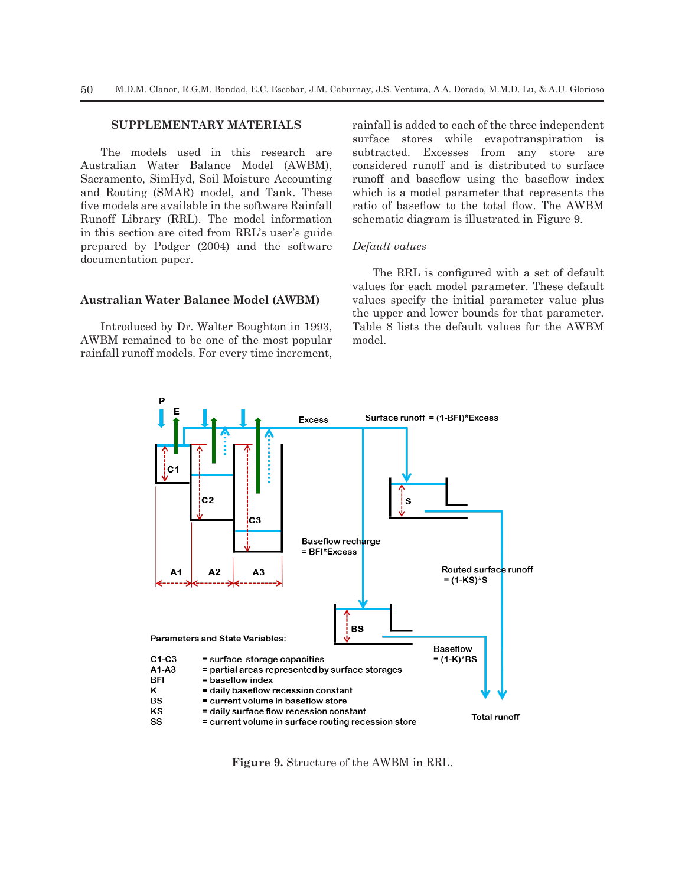# **SUPPLEMENTARY MATERIALS**

The models used in this research are Australian Water Balance Model (AWBM), Sacramento, SimHyd, Soil Moisture Accounting and Routing (SMAR) model, and Tank. These five models are available in the software Rainfall Runoff Library (RRL). The model information in this section are cited from RRL's user's guide prepared by Podger (2004) and the software documentation paper.

#### **Australian Water Balance Model (AWBM)**

Introduced by Dr. Walter Boughton in 1993, AWBM remained to be one of the most popular rainfall runoff models. For every time increment, rainfall is added to each of the three independent surface stores while evapotranspiration is subtracted. Excesses from any store are considered runoff and is distributed to surface runoff and baseflow using the baseflow index which is a model parameter that represents the ratio of baseflow to the total flow. The AWBM schematic diagram is illustrated in Figure 9.

# *Default values*

The RRL is configured with a set of default values for each model parameter. These default values specify the initial parameter value plus the upper and lower bounds for that parameter. Table 8 lists the default values for the AWBM model.



**Figure 9.** Structure of the AWBM in RRL.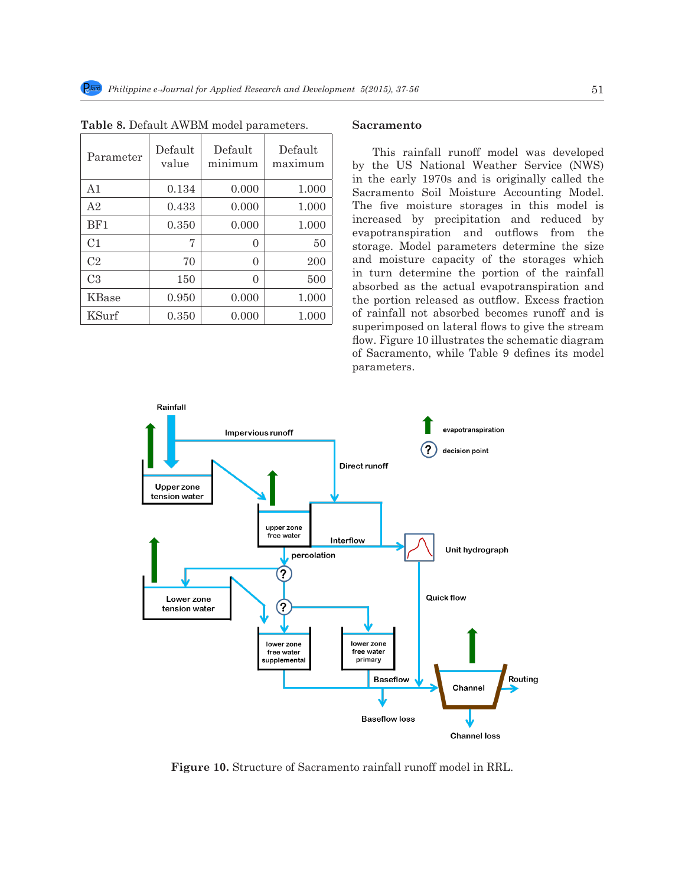| Parameter      | Default<br>value | Default<br>minimum | Default<br>maximum |
|----------------|------------------|--------------------|--------------------|
| A <sub>1</sub> | 0.134            | 0.000              | 1.000              |
| A <sub>2</sub> | 0.433            | 0.000              | 1.000              |
| BF1            | 0.350            | 0.000              | 1.000              |
| C <sub>1</sub> | 7                | $_{0}$             | 50                 |
| C <sub>2</sub> | 70               | 0                  | 200                |
| C <sub>3</sub> | 150              | 0                  | 500                |
| KBase          | 0.950            | 0.000              | 1.000              |
| KSurf          | 0.350            | 0.000              | 1.000              |

| Table 8. Default AWBM model parameters. |  |
|-----------------------------------------|--|
|-----------------------------------------|--|

# **Sacramento**

This rainfall runoff model was developed by the US National Weather Service (NWS) in the early 1970s and is originally called the Sacramento Soil Moisture Accounting Model. The five moisture storages in this model is increased by precipitation and reduced by evapotranspiration and outflows from the storage. Model parameters determine the size and moisture capacity of the storages which in turn determine the portion of the rainfall absorbed as the actual evapotranspiration and the portion released as outflow. Excess fraction of rainfall not absorbed becomes runoff and is superimposed on lateral flows to give the stream flow. Figure 10 illustrates the schematic diagram of Sacramento, while Table 9 defines its model parameters.



**Figure 10.** Structure of Sacramento rainfall runoff model in RRL.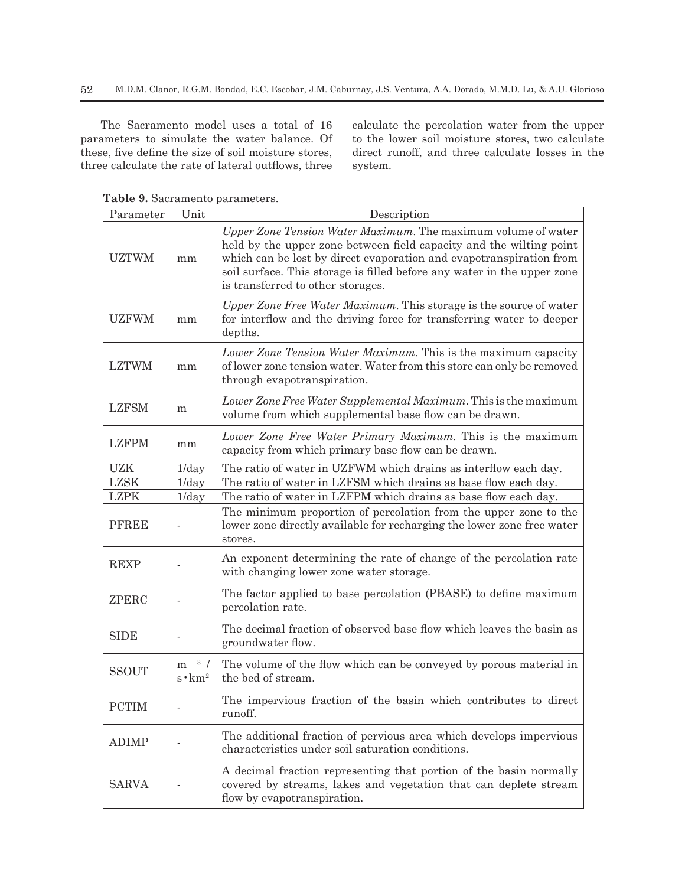The Sacramento model uses a total of 16 parameters to simulate the water balance. Of these, five define the size of soil moisture stores, three calculate the rate of lateral outflows, three calculate the percolation water from the upper to the lower soil moisture stores, two calculate direct runoff, and three calculate losses in the system.

| Parameter    | Unit                       | Description                                                                                                                                                                                                                                                                                                                 |
|--------------|----------------------------|-----------------------------------------------------------------------------------------------------------------------------------------------------------------------------------------------------------------------------------------------------------------------------------------------------------------------------|
| <b>UZTWM</b> | mm                         | Upper Zone Tension Water Maximum. The maximum volume of water<br>held by the upper zone between field capacity and the wilting point<br>which can be lost by direct evaporation and evapotranspiration from<br>soil surface. This storage is filled before any water in the upper zone<br>is transferred to other storages. |
| <b>UZFWM</b> | mm                         | Upper Zone Free Water Maximum. This storage is the source of water<br>for interflow and the driving force for transferring water to deeper<br>depths.                                                                                                                                                                       |
| <b>LZTWM</b> | mm                         | Lower Zone Tension Water Maximum. This is the maximum capacity<br>of lower zone tension water. Water from this store can only be removed<br>through evapotranspiration.                                                                                                                                                     |
| <b>LZFSM</b> | m                          | Lower Zone Free Water Supplemental Maximum. This is the maximum<br>volume from which supplemental base flow can be drawn.                                                                                                                                                                                                   |
| <b>LZFPM</b> | mm                         | Lower Zone Free Water Primary Maximum. This is the maximum<br>capacity from which primary base flow can be drawn.                                                                                                                                                                                                           |
| <b>UZK</b>   | 1/day                      | The ratio of water in UZFWM which drains as interflow each day.                                                                                                                                                                                                                                                             |
| <b>LZSK</b>  | $1$ /day                   | The ratio of water in LZFSM which drains as base flow each day.                                                                                                                                                                                                                                                             |
| <b>LZPK</b>  | $1$ /day                   | The ratio of water in LZFPM which drains as base flow each day.                                                                                                                                                                                                                                                             |
| <b>PFREE</b> |                            | The minimum proportion of percolation from the upper zone to the<br>lower zone directly available for recharging the lower zone free water<br>stores.                                                                                                                                                                       |
| <b>REXP</b>  |                            | An exponent determining the rate of change of the percolation rate<br>with changing lower zone water storage.                                                                                                                                                                                                               |
| ZPERC        |                            | The factor applied to base percolation (PBASE) to define maximum<br>percolation rate.                                                                                                                                                                                                                                       |
| <b>SIDE</b>  | $\overline{\phantom{a}}$   | The decimal fraction of observed base flow which leaves the basin as<br>groundwater flow.                                                                                                                                                                                                                                   |
| <b>SSOUT</b> | 3 /<br>m<br>$s \cdot km^2$ | The volume of the flow which can be conveyed by porous material in<br>the bed of stream.                                                                                                                                                                                                                                    |
| <b>PCTIM</b> |                            | The impervious fraction of the basin which contributes to direct<br>runoff.                                                                                                                                                                                                                                                 |
| <b>ADIMP</b> |                            | The additional fraction of pervious area which develops impervious<br>characteristics under soil saturation conditions.                                                                                                                                                                                                     |
| <b>SARVA</b> |                            | A decimal fraction representing that portion of the basin normally<br>covered by streams, lakes and vegetation that can deplete stream<br>flow by evapotranspiration.                                                                                                                                                       |

**Table 9.** Sacramento parameters.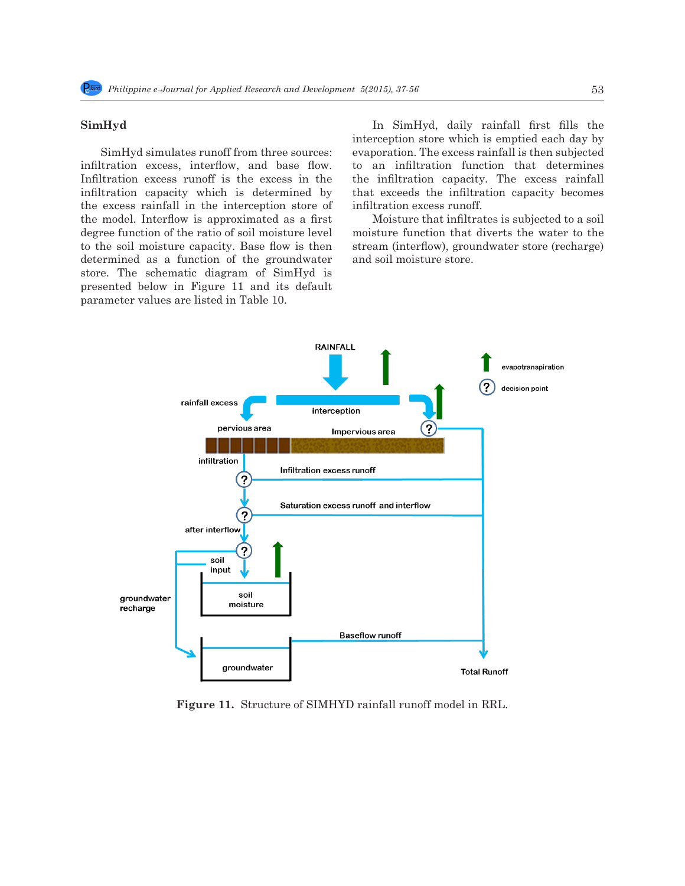### **SimHyd**

SimHyd simulates runoff from three sources: infiltration excess, interflow, and base flow. Infiltration excess runoff is the excess in the infiltration capacity which is determined by the excess rainfall in the interception store of the model. Interflow is approximated as a first degree function of the ratio of soil moisture level to the soil moisture capacity. Base flow is then determined as a function of the groundwater store. The schematic diagram of SimHyd is presented below in Figure 11 and its default parameter values are listed in Table 10.

In SimHyd, daily rainfall first fills the interception store which is emptied each day by evaporation. The excess rainfall is then subjected to an infiltration function that determines the infiltration capacity. The excess rainfall that exceeds the infiltration capacity becomes infiltration excess runoff.

Moisture that infiltrates is subjected to a soil moisture function that diverts the water to the stream (interflow), groundwater store (recharge) and soil moisture store.



**Figure 11.** Structure of SIMHYD rainfall runoff model in RRL.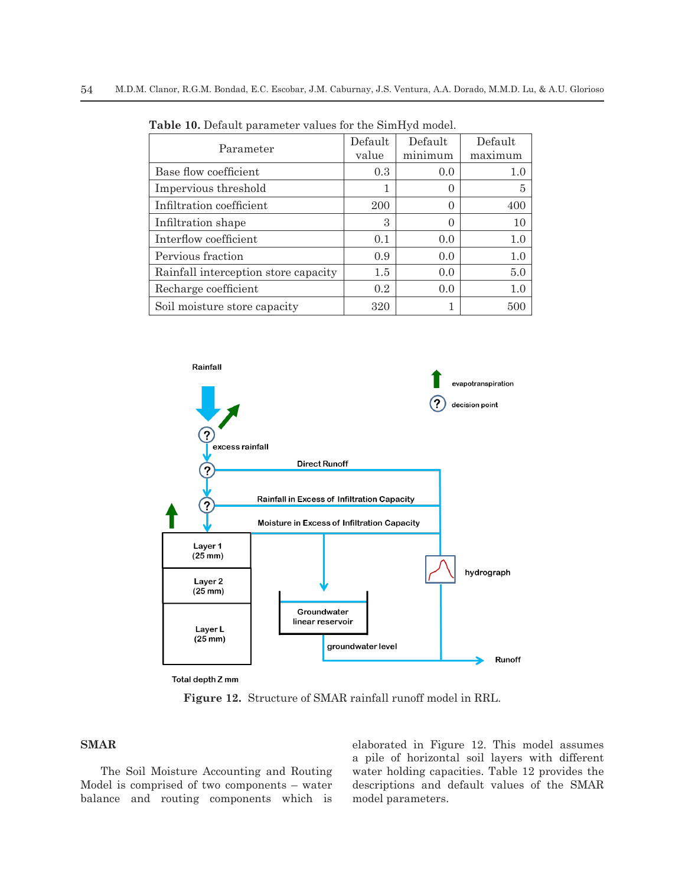| Parameter                            | Default<br>value | Default<br>minimum | Default<br>maximum |
|--------------------------------------|------------------|--------------------|--------------------|
| Base flow coefficient                | 0.3              | 0.0                | 1.0                |
| Impervious threshold                 | 1                | $\left( \right)$   | 5                  |
| Infiltration coefficient             | 200              | $\left( \right)$   | 400                |
| Infiltration shape                   | 3                | $\left( \right)$   | 10                 |
| Interflow coefficient                | 0.1              | 0.0                | 1.0                |
| Pervious fraction                    | 0.9              | 0.0                | 1.0                |
| Rainfall interception store capacity | 1.5              | 0.0                | 5.0                |
| Recharge coefficient                 | 0.2              | 0.0                | 1.0                |
| Soil moisture store capacity         | 320              |                    | .500               |

**Table 10.** Default parameter values for the SimHyd model.



Total depth Z mm

**Figure 12.** Structure of SMAR rainfall runoff model in RRL.

# **SMAR**

The Soil Moisture Accounting and Routing Model is comprised of two components – water balance and routing components which is elaborated in Figure 12. This model assumes a pile of horizontal soil layers with different water holding capacities. Table 12 provides the descriptions and default values of the SMAR model parameters.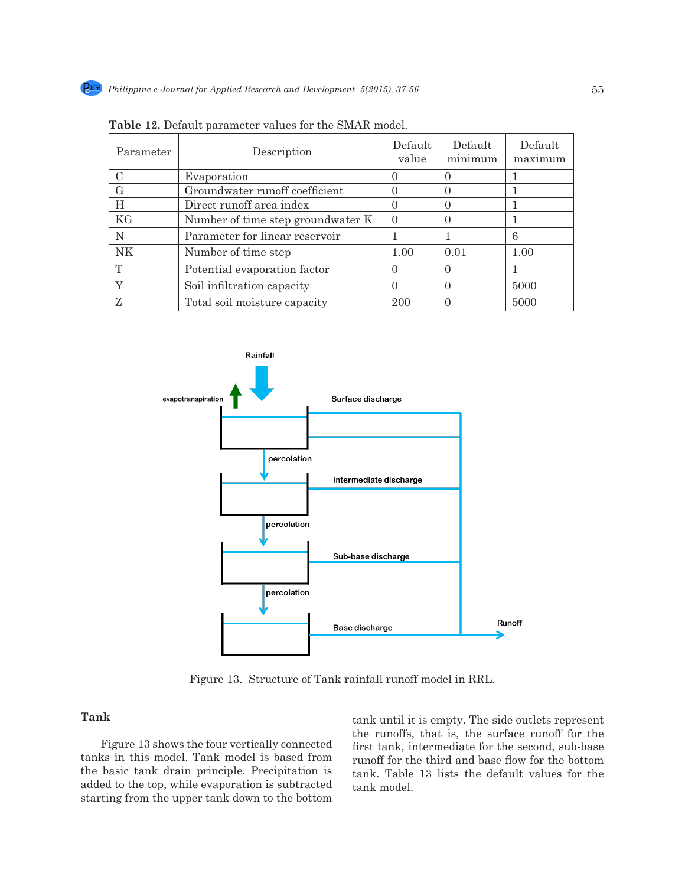| Parameter | Description                       | Default<br>value | Default<br>minimum | Default<br>maximum |
|-----------|-----------------------------------|------------------|--------------------|--------------------|
|           | Evaporation                       | 0                | 0                  |                    |
| G         | Groundwater runoff coefficient    | 0                | 0                  |                    |
| H         | Direct runoff area index          | 0                | $\Omega$           |                    |
| KG        | Number of time step groundwater K | $\Omega$         | $\Omega$           |                    |
| N         | Parameter for linear reservoir    |                  |                    | 6                  |
| <b>NK</b> | Number of time step               | 1.00             | 0.01               | 1.00               |
| T         | Potential evaporation factor      | 0                | 0                  |                    |
| Y         | Soil infiltration capacity        | 0                | $\Omega$           | 5000               |
| Z         | Total soil moisture capacity      | 200              | $\left( \right)$   | 5000               |

**Table 12.** Default parameter values for the SMAR model.



Figure 13. Structure of Tank rainfall runoff model in RRL.

# **Tank**

Figure 13 shows the four vertically connected tanks in this model. Tank model is based from the basic tank drain principle. Precipitation is added to the top, while evaporation is subtracted starting from the upper tank down to the bottom tank until it is empty. The side outlets represent the runoffs, that is, the surface runoff for the first tank, intermediate for the second, sub-base runoff for the third and base flow for the bottom tank. Table 13 lists the default values for the tank model.